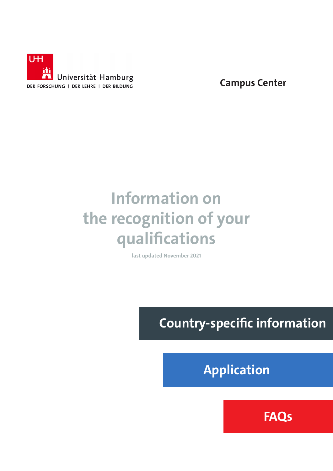

**Campus Center**

# **Information on the recognition of your qualifications**

**last updated November 2021**

 **Country-specific information**

 **Application**

 **FAQs**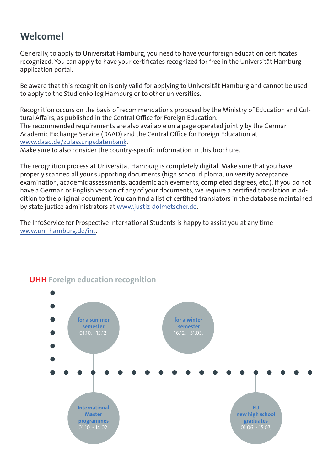# **Welcome!**

Generally, to apply to Universität Hamburg, you need to have your foreign education certificates recognized. You can apply to have your certificates recognized for free in the Universität Hamburg application portal.

Be aware that this recognition is only valid for applying to Universität Hamburg and cannot be used to apply to the Studienkolleg Hamburg or to other universities.

Recognition occurs on the basis of recommendations proposed by the Ministry of Education and Cultural Affairs, as published in the Central Office for Foreign Education. The recommended requirements are also available on a page operated jointly by the German Academic Exchange Service (DAAD) and the Central Office for Foreign Education at [www.daad.de/zulassungsdatenbank](http://www.daad.de/zulassungsdatenbank).

Make sure to also consider the country-specific information in this brochure.

The recognition process at Universität Hamburg is completely digital. Make sure that you have properly scanned all your supporting documents (high school diploma, university acceptance examination, academic assessments, academic achievements, completed degrees, etc.). If you do not have a German or English version of any of your documents, we require a certified translation in addition to the original document. You can find a list of certified translators in the database maintained by state justice administrators at [www.justiz-dolmetscher.de.](http://www.justiz-dolmetscher.de)

The InfoService for Prospective International Students is happy to assist you at any time [www.uni-hamburg.de/int](http://www.uni-hamburg.de/int).



## **UHH Foreign education recognition**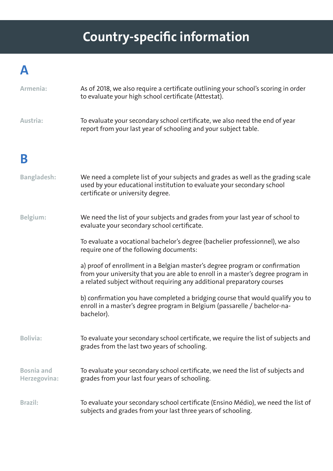# **Country-specific information**

# **A**

| Armenia:                          | As of 2018, we also require a certificate outlining your school's scoring in order<br>to evaluate your high school certificate (Attestat).                                                                                                |
|-----------------------------------|-------------------------------------------------------------------------------------------------------------------------------------------------------------------------------------------------------------------------------------------|
| Austria:                          | To evaluate your secondary school certificate, we also need the end of year<br>report from your last year of schooling and your subject table.                                                                                            |
| B                                 |                                                                                                                                                                                                                                           |
| <b>Bangladesh:</b>                | We need a complete list of your subjects and grades as well as the grading scale<br>used by your educational institution to evaluate your secondary school<br>certificate or university degree.                                           |
| Belgium:                          | We need the list of your subjects and grades from your last year of school to<br>evaluate your secondary school certificate.                                                                                                              |
|                                   | To evaluate a vocational bachelor's degree (bachelier professionnel), we also<br>require one of the following documents:                                                                                                                  |
|                                   | a) proof of enrollment in a Belgian master's degree program or confirmation<br>from your university that you are able to enroll in a master's degree program in<br>a related subject without requiring any additional preparatory courses |
|                                   | b) confirmation you have completed a bridging course that would qualify you to<br>enroll in a master's degree program in Belgium (passarelle / bachelor-na-<br>bachelor).                                                                 |
| <b>Bolivia:</b>                   | To evaluate your secondary school certificate, we require the list of subjects and<br>grades from the last two years of schooling.                                                                                                        |
| <b>Bosnia and</b><br>Herzegovina: | To evaluate your secondary school certificate, we need the list of subjects and<br>grades from your last four years of schooling.                                                                                                         |
| <b>Brazil:</b>                    | To evaluate your secondary school certificate (Ensino Médio), we need the list of<br>subjects and grades from your last three years of schooling.                                                                                         |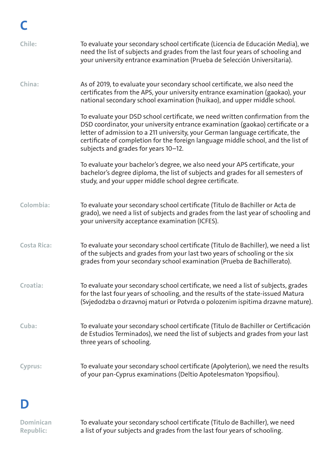| Chile:             | To evaluate your secondary school certificate (Licencia de Educación Media), we<br>need the list of subjects and grades from the last four years of schooling and<br>your university entrance examination (Prueba de Selección Universitaria).                                                                                                                                   |
|--------------------|----------------------------------------------------------------------------------------------------------------------------------------------------------------------------------------------------------------------------------------------------------------------------------------------------------------------------------------------------------------------------------|
| China:             | As of 2019, to evaluate your secondary school certificate, we also need the<br>certificates from the APS, your university entrance examination (gaokao), your<br>national secondary school examination (huikao), and upper middle school.                                                                                                                                        |
|                    | To evaluate your DSD school certificate, we need written confirmation from the<br>DSD coordinator, your university entrance examination (gaokao) certificate or a<br>letter of admission to a 211 university, your German language certificate, the<br>certificate of completion for the foreign language middle school, and the list of<br>subjects and grades for years 10-12. |
|                    | To evaluate your bachelor's degree, we also need your APS certificate, your<br>bachelor's degree diploma, the list of subjects and grades for all semesters of<br>study, and your upper middle school degree certificate.                                                                                                                                                        |
| Colombia:          | To evaluate your secondary school certificate (Titulo de Bachiller or Acta de<br>grado), we need a list of subjects and grades from the last year of schooling and<br>your university acceptance examination (ICFES).                                                                                                                                                            |
| <b>Costa Rica:</b> | To evaluate your secondary school certificate (Titulo de Bachiller), we need a list<br>of the subjects and grades from your last two years of schooling or the six<br>grades from your secondary school examination (Prueba de Bachillerato).                                                                                                                                    |
| Croatia:           | To evaluate your secondary school certificate, we need a list of subjects, grades<br>for the last four years of schooling, and the results of the state-issued Matura<br>(Svjedodzba o drzavnoj maturi or Potvrda o polozenim ispitima drzavne mature).                                                                                                                          |
| Cuba:              | To evaluate your secondary school certificate (Titulo de Bachiller or Certificación<br>de Estudios Terminados), we need the list of subjects and grades from your last<br>three years of schooling.                                                                                                                                                                              |
| <b>Cyprus:</b>     | To evaluate your secondary school certificate (Apolyterion), we need the results<br>of your pan-Cyprus examinations (Deltio Apotelesmaton Ypopsifiou).                                                                                                                                                                                                                           |
|                    |                                                                                                                                                                                                                                                                                                                                                                                  |

# **D**

| Dominican        | To evaluate your secondary school certificate (Titulo de Bachiller), we need |
|------------------|------------------------------------------------------------------------------|
| <b>Republic:</b> | a list of your subjects and grades from the last four years of schooling.    |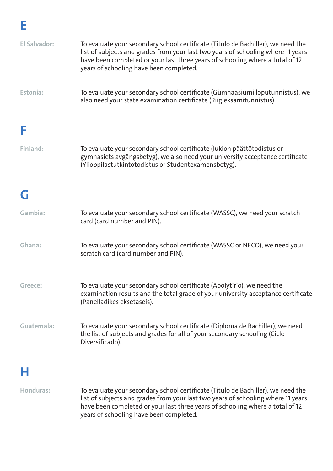| <b>El Salvador:</b> | To evaluate your secondary school certificate (Titulo de Bachiller), we need the<br>list of subjects and grades from your last two years of schooling where 11 years<br>have been completed or your last three years of schooling where a total of 12<br>years of schooling have been completed. |
|---------------------|--------------------------------------------------------------------------------------------------------------------------------------------------------------------------------------------------------------------------------------------------------------------------------------------------|
| Estonia:            | To evaluate your secondary school certificate (Gümnaasiumi loputunnistus), we<br>also need your state examination certificate (Riigieksamitunnistus).                                                                                                                                            |
|                     |                                                                                                                                                                                                                                                                                                  |
| Finland:            | To evaluate your secondary school certificate (lukion päättötodistus or<br>gymnasiets avgångsbetyg), we also need your university acceptance certificate<br>(Ylioppilastutkintotodistus or Studentexamensbetyg).                                                                                 |
| G                   |                                                                                                                                                                                                                                                                                                  |
| Gambia:             | To evaluate your secondary school certificate (WASSC), we need your scratch<br>card (card number and PIN).                                                                                                                                                                                       |
| Ghana:              | To evaluate your secondary school certificate (WASSC or NECO), we need your<br>scratch card (card number and PIN).                                                                                                                                                                               |
| Greece:             | To evaluate your secondary school certificate (Apolytirio), we need the<br>examination results and the total grade of your university acceptance certificate<br>(Panelladikes eksetaseis).                                                                                                       |
| Guatemala:          | To evaluate your secondary school certificate (Diploma de Bachiller), we need<br>the list of subjects and grades for all of your secondary schooling (Ciclo<br>Diversificado).                                                                                                                   |
|                     |                                                                                                                                                                                                                                                                                                  |

# **H**

**Honduras:** To evaluate your secondary school certificate (Titulo de Bachiller), we need the list of subjects and grades from your last two years of schooling where 11 years have been completed or your last three years of schooling where a total of 12 years of schooling have been completed.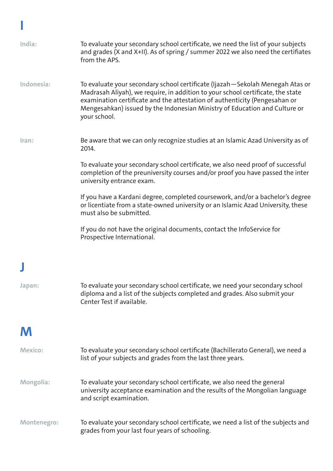| India:           | To evaluate your secondary school certificate, we need the list of your subjects<br>and grades (X and X+II). As of spring / summer 2022 we also need the certifiates<br>from the APS.                                                                                                                                                          |
|------------------|------------------------------------------------------------------------------------------------------------------------------------------------------------------------------------------------------------------------------------------------------------------------------------------------------------------------------------------------|
| Indonesia:       | To evaluate your secondary school certificate (Ijazah - Sekolah Menegah Atas or<br>Madrasah Aliyah), we require, in addition to your school certificate, the state<br>examination certificate and the attestation of authenticity (Pengesahan or<br>Mengesahkan) issued by the Indonesian Ministry of Education and Culture or<br>your school. |
| Iran:            | Be aware that we can only recognize studies at an Islamic Azad University as of<br>2014.                                                                                                                                                                                                                                                       |
|                  | To evaluate your secondary school certificate, we also need proof of successful<br>completion of the preuniversity courses and/or proof you have passed the inter<br>university entrance exam.                                                                                                                                                 |
|                  | If you have a Kardani degree, completed coursework, and/or a bachelor's degree<br>or licentiate from a state-owned university or an Islamic Azad University, these<br>must also be submitted.                                                                                                                                                  |
|                  | If you do not have the original documents, contact the InfoService for<br>Prospective International.                                                                                                                                                                                                                                           |
|                  |                                                                                                                                                                                                                                                                                                                                                |
| Japan:           | To evaluate your secondary school certificate, we need your secondary school<br>diploma and a list of the subjects completed and grades. Also submit your<br>Center Test if available.                                                                                                                                                         |
| M                |                                                                                                                                                                                                                                                                                                                                                |
| <b>Mexico:</b>   | To evaluate your secondary school certificate (Bachillerato General), we need a<br>list of your subjects and grades from the last three years.                                                                                                                                                                                                 |
| <b>Mongolia:</b> | To evaluate your secondary school certificate, we also need the general<br>university acceptance examination and the results of the Mongolian language<br>and script examination.                                                                                                                                                              |
| Montenegro:      | To evaluate your secondary school certificate, we need a list of the subjects and<br>grades from your last four years of schooling.                                                                                                                                                                                                            |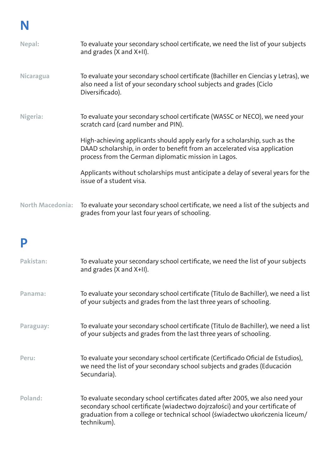| Nepal:                  | To evaluate your secondary school certificate, we need the list of your subjects<br>and grades (X and X+II).                                                                                                      |
|-------------------------|-------------------------------------------------------------------------------------------------------------------------------------------------------------------------------------------------------------------|
| <b>Nicaragua</b>        | To evaluate your secondary school certificate (Bachiller en Ciencias y Letras), we<br>also need a list of your secondary school subjects and grades (Ciclo<br>Diversificado).                                     |
| Nigeria:                | To evaluate your secondary school certificate (WASSC or NECO), we need your<br>scratch card (card number and PIN).                                                                                                |
|                         | High-achieving applicants should apply early for a scholarship, such as the<br>DAAD scholarship, in order to benefit from an accelerated visa application<br>process from the German diplomatic mission in Lagos. |
|                         | Applicants without scholarships must anticipate a delay of several years for the<br>issue of a student visa.                                                                                                      |
| <b>North Macedonia:</b> | To evaluate your secondary school certificate, we need a list of the subjects and<br>grades from your last four years of schooling.                                                                               |
| P                       |                                                                                                                                                                                                                   |
| Pakistan:               | To evaluate your secondary school certificate, we need the list of your subjects<br>and grades (X and X+II).                                                                                                      |

- **Panama:** To evaluate your secondary school certificate (Titulo de Bachiller), we need a list of your subjects and grades from the last three years of schooling.
- **Paraguay:** To evaluate your secondary school certificate (Titulo de Bachiller), we need a list of your subjects and grades from the last three years of schooling.
- **Peru:** To evaluate your secondary school certificate (Certificado Oficial de Estudios), we need the list of your secondary school subjects and grades (Educación Secundaria).
- **Poland:** To evaluate secondary school certificates dated after 2005, we also need your secondary school certificate (wiadectwo dojrzałości) and your certificate of graduation from a college or technical school (świadectwo ukończenia liceum/ technikum).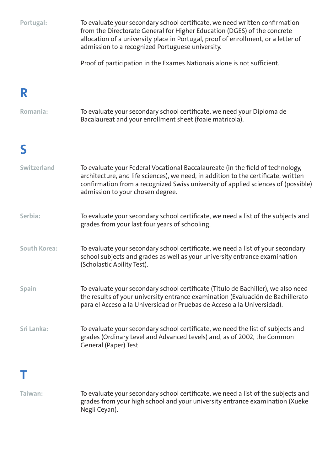| Portugal:           | To evaluate your secondary school certificate, we need written confirmation<br>from the Directorate General for Higher Education (DGES) of the concrete<br>allocation of a university place in Portugal, proof of enrollment, or a letter of<br>admission to a recognized Portuguese university. |
|---------------------|--------------------------------------------------------------------------------------------------------------------------------------------------------------------------------------------------------------------------------------------------------------------------------------------------|
|                     | Proof of participation in the Exames Nationais alone is not sufficient.                                                                                                                                                                                                                          |
| R                   |                                                                                                                                                                                                                                                                                                  |
| Romania:            | To evaluate your secondary school certificate, we need your Diploma de<br>Bacalaureat and your enrollment sheet (foaie matricola).                                                                                                                                                               |
|                     |                                                                                                                                                                                                                                                                                                  |
| <b>Switzerland</b>  | To evaluate your Federal Vocational Baccalaureate (in the field of technology,<br>architecture, and life sciences), we need, in addition to the certificate, written<br>confirmation from a recognized Swiss university of applied sciences of (possible)<br>admission to your chosen degree.    |
| Serbia:             | To evaluate your secondary school certificate, we need a list of the subjects and<br>grades from your last four years of schooling.                                                                                                                                                              |
| <b>South Korea:</b> | To evaluate your secondary school certificate, we need a list of your secondary<br>school subjects and grades as well as your university entrance examination<br>(Scholastic Ability Test).                                                                                                      |
| <b>Spain</b>        | To evaluate your secondary school certificate (Titulo de Bachiller), we also need<br>the results of your university entrance examination (Evaluación de Bachillerato<br>para el Acceso a la Universidad or Pruebas de Acceso a la Universidad).                                                  |
| Sri Lanka:          | To evaluate your secondary school certificate, we need the list of subjects and<br>grades (Ordinary Level and Advanced Levels) and, as of 2002, the Common<br>General (Paper) Test.                                                                                                              |
|                     |                                                                                                                                                                                                                                                                                                  |

**Taiwan:** To evaluate your secondary school certificate, we need a list of the subjects and grades from your high school and your university entrance examination (Xueke Negli Ceyan).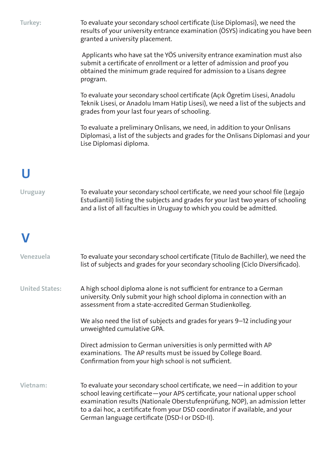| Turkey:               | To evaluate your secondary school certificate (Lise Diplomasi), we need the<br>results of your university entrance examination (ÖSYS) indicating you have been<br>granted a university placement.                                                                                                                                                                          |
|-----------------------|----------------------------------------------------------------------------------------------------------------------------------------------------------------------------------------------------------------------------------------------------------------------------------------------------------------------------------------------------------------------------|
|                       | Applicants who have sat the YOS university entrance examination must also<br>submit a certificate of enrollment or a letter of admission and proof you<br>obtained the minimum grade required for admission to a Lisans degree<br>program.                                                                                                                                 |
|                       | To evaluate your secondary school certificate (Açık Ögretim Lisesi, Anadolu<br>Teknik Lisesi, or Anadolu Imam Hatip Lisesi), we need a list of the subjects and<br>grades from your last four years of schooling.                                                                                                                                                          |
|                       | To evaluate a preliminary Onlisans, we need, in addition to your Onlisans<br>Diplomasi, a list of the subjects and grades for the Onlisans Diplomasi and your<br>Lise Diplomasi diploma.                                                                                                                                                                                   |
|                       |                                                                                                                                                                                                                                                                                                                                                                            |
|                       |                                                                                                                                                                                                                                                                                                                                                                            |
| <b>Uruguay</b>        | To evaluate your secondary school certificate, we need your school file (Legajo<br>Estudiantil) listing the subjects and grades for your last two years of schooling<br>and a list of all faculties in Uruguay to which you could be admitted.                                                                                                                             |
|                       |                                                                                                                                                                                                                                                                                                                                                                            |
| Venezuela             | To evaluate your secondary school certificate (Titulo de Bachiller), we need the<br>list of subjects and grades for your secondary schooling (Ciclo Diversificado).                                                                                                                                                                                                        |
| <b>United States:</b> | A high school diploma alone is not sufficient for entrance to a German<br>university. Only submit your high school diploma in connection with an<br>assessment from a state-accredited German Studienkolleg.                                                                                                                                                               |
|                       | We also need the list of subjects and grades for years 9-12 including your<br>unweighted cumulative GPA.                                                                                                                                                                                                                                                                   |
|                       | Direct admission to German universities is only permitted with AP<br>examinations. The AP results must be issued by College Board.<br>Confirmation from your high school is not sufficient.                                                                                                                                                                                |
| Vietnam:              | To evaluate your secondary school certificate, we need—in addition to your<br>school leaving certificate-your APS certificate, your national upper school<br>examination results (Nationale Oberstufenprüfung, NOP), an admission letter<br>to a dai hoc, a certificate from your DSD coordinator if available, and your<br>German language certificate (DSD-I or DSD-II). |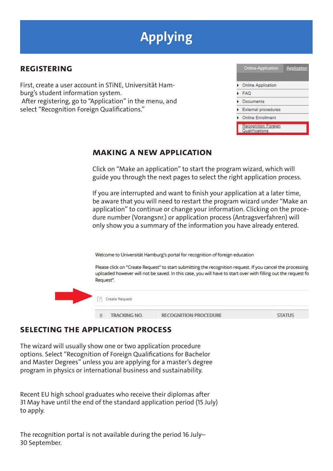# **Applying**

## **Registering**

First, create a user account in STiNE, Universität Hamburg's student information system. After registering, go to "Application" in the menu, and select "Recognition Foreign Qualifications."

| Application<br>Online-Application     |
|---------------------------------------|
|                                       |
| <b>Cnline Application</b>             |
| <b>FAQ</b>                            |
| Documents                             |
| External procedures                   |
| <b>Online Enrollment</b>              |
| Recognition Foreign<br>Qualifications |

### **Making a new application**

Click on "Make an application" to start the program wizard, which will guide you through the next pages to select the right application process.

If you are interrupted and want to finish your application at a later time, be aware that you will need to restart the program wizard under "Make an application" to continue or change your information. Clicking on the procedure number (Vorangsnr.) or application process (Antragsverfahren) will only show you a summary of the information you have already entered.

Welcome to Universität Hamburg's portal for recognition of foreign education

Please click on "Create Request" to start submitting the recognition request. If you cancel the processing uploaded however will not be saved. In this case, you will have to start over with filling out the request fo Request".



### **Selecting the application process**

The wizard will usually show one or two application procedure options. Select "Recognition of Foreign Qualifications for Bachelor and Master Degrees" unless you are applying for a master's degree program in physics or international business and sustainability.

Recent EU high school graduates who receive their diplomas after 31 May have until the end of the standard application period (15 July) to apply.

The recognition portal is not available during the period 16 July– 30 September.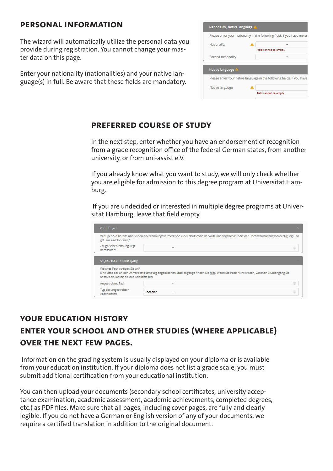#### **Personal information**

The wizard will automatically utilize the personal data you provide during registration. You cannot change your master data on this page.

Enter your nationality (nationalities) and your native language(s) in full. Be aware that these fields are mandatory.

| Please enter your nationality in the following field. If you have more t |  |                                                                        |
|--------------------------------------------------------------------------|--|------------------------------------------------------------------------|
| Nationality                                                              |  |                                                                        |
|                                                                          |  | Field cannot be empty.                                                 |
| Second nationality                                                       |  |                                                                        |
|                                                                          |  |                                                                        |
|                                                                          |  |                                                                        |
| Native language 4                                                        |  | Please enter your native language in the following fields. If you have |
| Native language                                                          |  |                                                                        |

## **Preferred course of study**

In the next step, enter whether you have an endorsement of recognition from a grade recognition office of the federal German states, from another university, or from uni-assist e.V.

If you already know what you want to study, we will only check whether you are eligible for admission to this degree program at Universität Hamburg.

 If you are undecided or interested in multiple degree programs at Universität Hamburg, leave that field empty.

| Vorabfrage                                                                 |                                                                                                                                          | $\sim$ |
|----------------------------------------------------------------------------|------------------------------------------------------------------------------------------------------------------------------------------|--------|
| ggf. zur Fachbindung?                                                      | Verfügen Sie bereits über einen Anerkennungsvermerk von einer deutschen Behörde mit Angaben zur Art der Hochschulzugangsberechtigung und |        |
| Zeugnisanerkennung liegt<br>bereits vor?                                   |                                                                                                                                          | ÷      |
| Angestrebter Studiengang                                                   |                                                                                                                                          |        |
|                                                                            |                                                                                                                                          |        |
| Welches Fach streben Sie an?<br>anstreben, lassen sie das Feld bitte frei. | Eine Liste der an der Universität Hamburg angebotenen Studiengänge finden Sie hier. Wenn Sie noch nicht wissen, welchen Studiengang Sie  |        |
| Angestrebtes Fach                                                          | ۰                                                                                                                                        | ŵ      |
| Typ des angestrebten<br>Abschlusses                                        | <b>Bachelor</b><br>۰                                                                                                                     | ŭ      |

## **Your education history Enter your school and other studies (where applicable) over the next few pages.**

 Information on the grading system is usually displayed on your diploma or is available from your education institution. If your diploma does not list a grade scale, you must submit additional certification from your educational institution.

You can then upload your documents (secondary school certificates, university acceptance examination, academic assessment, academic achievements, completed degrees, etc.) as PDF files. Make sure that all pages, including cover pages, are fully and clearly legible. If you do not have a German or English version of any of your documents, we require a certified translation in addition to the original document.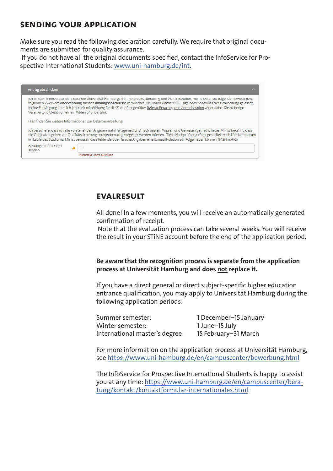## **Sending your application**

Make sure you read the following declaration carefully. We require that original documents are submitted for quality assurance.

 If you do not have all the original documents specified, contact the InfoService for Prospective International Students: www.uni-hamburg.de/int.

| Antrag abschicken                                 | ∼                                                                                                                                                                                                                                                                                                                                                                                                                                      |
|---------------------------------------------------|----------------------------------------------------------------------------------------------------------------------------------------------------------------------------------------------------------------------------------------------------------------------------------------------------------------------------------------------------------------------------------------------------------------------------------------|
| Verarbeitung bleibt von einem Widerruf unberührt. | Ich bin damit einverstanden, dass die Universität Hamburg, hier: Referat 30, Beratung und Administration, meine Daten zu folgendem Zweck bzw.<br>folgenden Zwecken: Anerkennung meiner Bildungsabschlüsse verarbeitet. Die Daten werden 365 Tage nach Abschluss der Bearbeitung gelöscht.<br>Meine Einwilligung kann ich jederzeit mit Wirkung für die Zukunft gegenüber Referat Beratung und Administration widerrufen. Die bisherige |
|                                                   | Hier finden Sie weitere Informationen zur Datenverarbeitung.                                                                                                                                                                                                                                                                                                                                                                           |
|                                                   | Ich versichere, dass ich alle vorstehenden Angaben wahrheitsgemäß und nach bestem Wissen und Gewissen gemacht habe. Mir ist bekannt, dass<br>die Originalzeugnisse zur Qualitätssicherung stichprobenartig vorgelegt werden müssen. Diese Nachprüfung erfolgt gestaffelt nach Länderkohorten<br>im Laufe des Studiums. Mir ist bewusst, dass fehlende oder falsche Angaben eine Exmatrikulation zur Folge haben können (§42HmbHG).     |
| Bestätigen und Daten<br>senden                    |                                                                                                                                                                                                                                                                                                                                                                                                                                        |
|                                                   | Pflichtfeld - bitte ausfüllen                                                                                                                                                                                                                                                                                                                                                                                                          |

### **EvalResult**

All done! In a few moments, you will receive an automatically generated confirmation of receipt.

 Note that the evaluation process can take several weeks. You will receive the result in your STiNE account before the end of the application period.

**Be aware that the recognition process is separate from the application process at Universität Hamburg and does not replace it.** 

If you have a direct general or direct subject-specific higher education entrance qualification, you may apply to Universität Hamburg during the following application periods:

| Summer semester:               | 1 December-15 January |
|--------------------------------|-----------------------|
| Winter semester:               | 1 June-15 July        |
| International master's degree: | 15 February-31 March  |

For more information on the application process at Universität Hamburg, see<https://www.uni-hamburg.de/en/campuscenter/bewerbung.html>

The InfoService for Prospective International Students is happy to assist you at any time: [https://www.uni-hamburg.de/en/campuscenter/bera](http://www.uni-hamburg.de/int)[tung/kontakt/kontaktformular-internationales.html](http://www.uni-hamburg.de/int).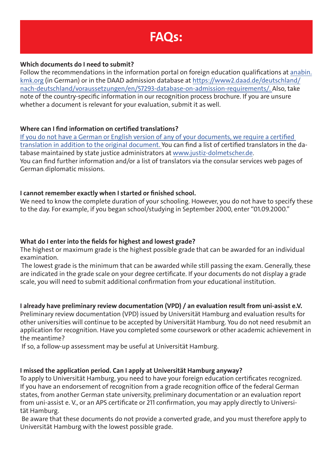# **FAQs:**

#### **Which documents do I need to submit?**

Follow the recommendations in the information portal on foreign education qualifications at [anabin.](http://anabin.kmk.org) [kmk.org](http://anabin.kmk.org) (in German) or in the DAAD admission database at [https://www2.daad.de/deutschland/](http://www.daad.de/zulassungsdatenbank) [nach-deutschland/voraussetzungen/en/57293-database-on-admission-requirements/](http://www.daad.de/zulassungsdatenbank). Also, take note of the country-specific information in our recognition process brochure. If you are unsure whether a document is relevant for your evaluation, submit it as well.

#### **Where can I find information on certified translations?**

If you do not have a German or English version of any of your documents, we require a certified translation in addition to the original document. You can find a list of certified translators in the database maintained by state justice administrators at [www.justiz-dolmetscher.de](http://www.justiz-dolmetscher.de). You can find further information and/or a list of translators via the consular services web pages of German diplomatic missions.

#### **I cannot remember exactly when I started or finished school.**

We need to know the complete duration of your schooling. However, you do not have to specify these to the day. For example, if you began school/studying in September 2000, enter "01.09.2000."

#### **What do I enter into the fields for highest and lowest grade?**

The highest or maximum grade is the highest possible grade that can be awarded for an individual examination.

 The lowest grade is the minimum that can be awarded while still passing the exam. Generally, these are indicated in the grade scale on your degree certificate. If your documents do not display a grade scale, you will need to submit additional confirmation from your educational institution.

#### **I already have preliminary review documentation (VPD) / an evaluation result from uni-assist e.V.**

Preliminary review documentation (VPD) issued by Universität Hamburg and evaluation results for other universities will continue to be accepted by Universität Hamburg. You do not need resubmit an application for recognition. Have you completed some coursework or other academic achievement in the meantime?

If so, a follow-up assessment may be useful at Universität Hamburg.

#### **I missed the application period. Can I apply at Universität Hamburg anyway?**

To apply to Universität Hamburg, you need to have your foreign education certificates recognized. If you have an endorsement of recognition from a grade recognition office of the federal German states, from another German state university, preliminary documentation or an evaluation report from uni-assist e. V., or an APS certificate or 211 confirmation, you may apply directly to Universität Hamburg.

 Be aware that these documents do not provide a converted grade, and you must therefore apply to Universität Hamburg with the lowest possible grade.